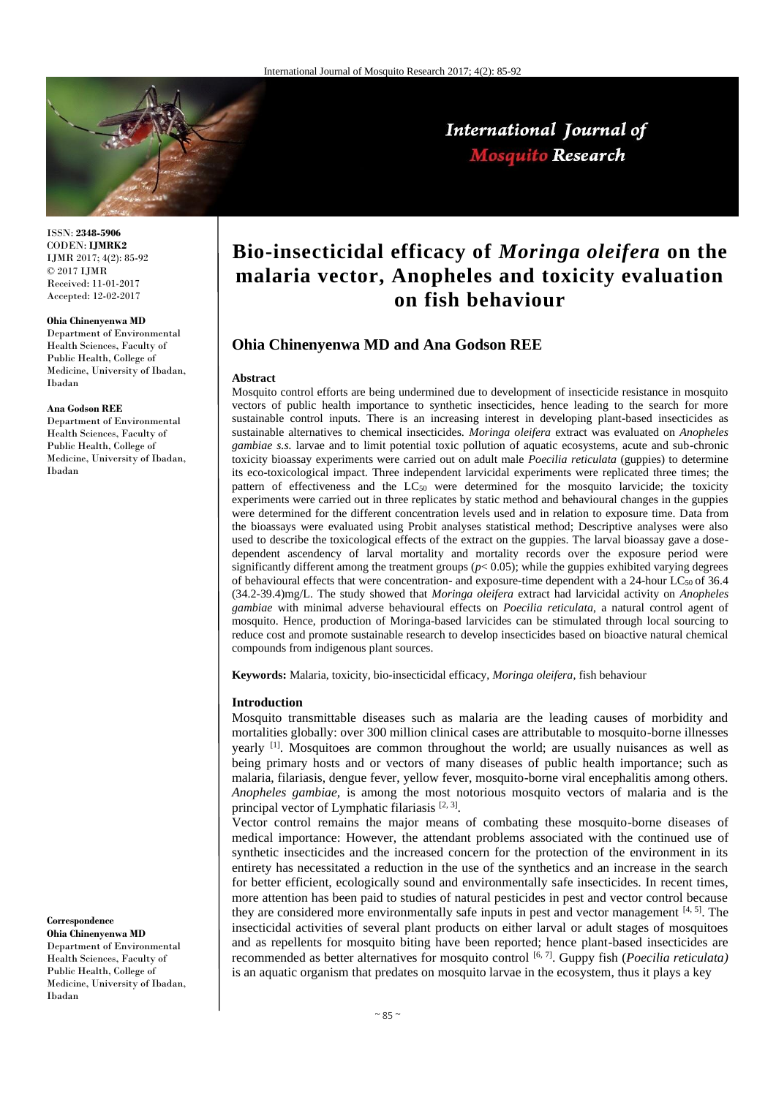

ISSN: **2348-5906** CODEN: **IJMRK2** IJMR 2017; 4(2): 85-92 © 2017 IJMR Received: 11-01-2017 Accepted: 12-02-2017

#### **Ohia Chinenyenwa MD**

Department of Environmental Health Sciences, Faculty of Public Health, College of Medicine, University of Ibadan, Ibadan

#### **Ana Godson REE**

Department of Environmental Health Sciences, Faculty of Public Health, College of Medicine, University of Ibadan, Ibadan

# **Correspondence**

**Ohia Chinenyenwa MD** Department of Environmental Health Sciences, Faculty of Public Health, College of Medicine, University of Ibadan, Ibadan

# **Bio-insecticidal efficacy of** *Moringa oleifera* **on the malaria vector, Anopheles and toxicity evaluation on fish behaviour**

International Journal of **Mosquito Research** 

# **Ohia Chinenyenwa MD and Ana Godson REE**

#### **Abstract**

Mosquito control efforts are being undermined due to development of insecticide resistance in mosquito vectors of public health importance to synthetic insecticides, hence leading to the search for more sustainable control inputs. There is an increasing interest in developing plant-based insecticides as sustainable alternatives to chemical insecticides. *Moringa oleifera* extract was evaluated on *Anopheles gambiae s.s.* larvae and to limit potential toxic pollution of aquatic ecosystems, acute and sub-chronic toxicity bioassay experiments were carried out on adult male *Poecilia reticulata* (guppies) to determine its eco-toxicological impact. Three independent larvicidal experiments were replicated three times; the pattern of effectiveness and the LC<sub>50</sub> were determined for the mosquito larvicide; the toxicity experiments were carried out in three replicates by static method and behavioural changes in the guppies were determined for the different concentration levels used and in relation to exposure time. Data from the bioassays were evaluated using Probit analyses statistical method; Descriptive analyses were also used to describe the toxicological effects of the extract on the guppies. The larval bioassay gave a dosedependent ascendency of larval mortality and mortality records over the exposure period were significantly different among the treatment groups  $(p< 0.05)$ ; while the guppies exhibited varying degrees of behavioural effects that were concentration- and exposure-time dependent with a 24-hour LC<sub>50</sub> of 36.4 (34.2-39.4)mg/L. The study showed that *Moringa oleifera* extract had larvicidal activity on *Anopheles gambiae* with minimal adverse behavioural effects on *Poecilia reticulata*, a natural control agent of mosquito. Hence, production of Moringa-based larvicides can be stimulated through local sourcing to reduce cost and promote sustainable research to develop insecticides based on bioactive natural chemical compounds from indigenous plant sources.

**Keywords:** Malaria, toxicity, bio-insecticidal efficacy, *Moringa oleifera*, fish behaviour

#### **Introduction**

Mosquito transmittable diseases such as malaria are the leading causes of morbidity and mortalities globally: over 300 million clinical cases are attributable to mosquito-borne illnesses yearly [1]. Mosquitoes are common throughout the world; are usually nuisances as well as being primary hosts and or vectors of many diseases of public health importance; such as malaria, filariasis, dengue fever, yellow fever, mosquito-borne viral encephalitis among others. *Anopheles gambiae,* is among the most notorious mosquito vectors of malaria and is the principal vector of Lymphatic filariasis  $[2, 3]$ .

Vector control remains the major means of combating these mosquito-borne diseases of medical importance: However, the attendant problems associated with the continued use of synthetic insecticides and the increased concern for the protection of the environment in its entirety has necessitated a reduction in the use of the synthetics and an increase in the search for better efficient, ecologically sound and environmentally safe insecticides. In recent times, more attention has been paid to studies of natural pesticides in pest and vector control because they are considered more environmentally safe inputs in pest and vector management [4, 5]. The insecticidal activities of several plant products on either larval or adult stages of mosquitoes and as repellents for mosquito biting have been reported; hence plant-based insecticides are recommended as better alternatives for mosquito control <sup>[6, 7]</sup>. Guppy fish (*Poecilia reticulata*) is an aquatic organism that predates on mosquito larvae in the ecosystem, thus it plays a key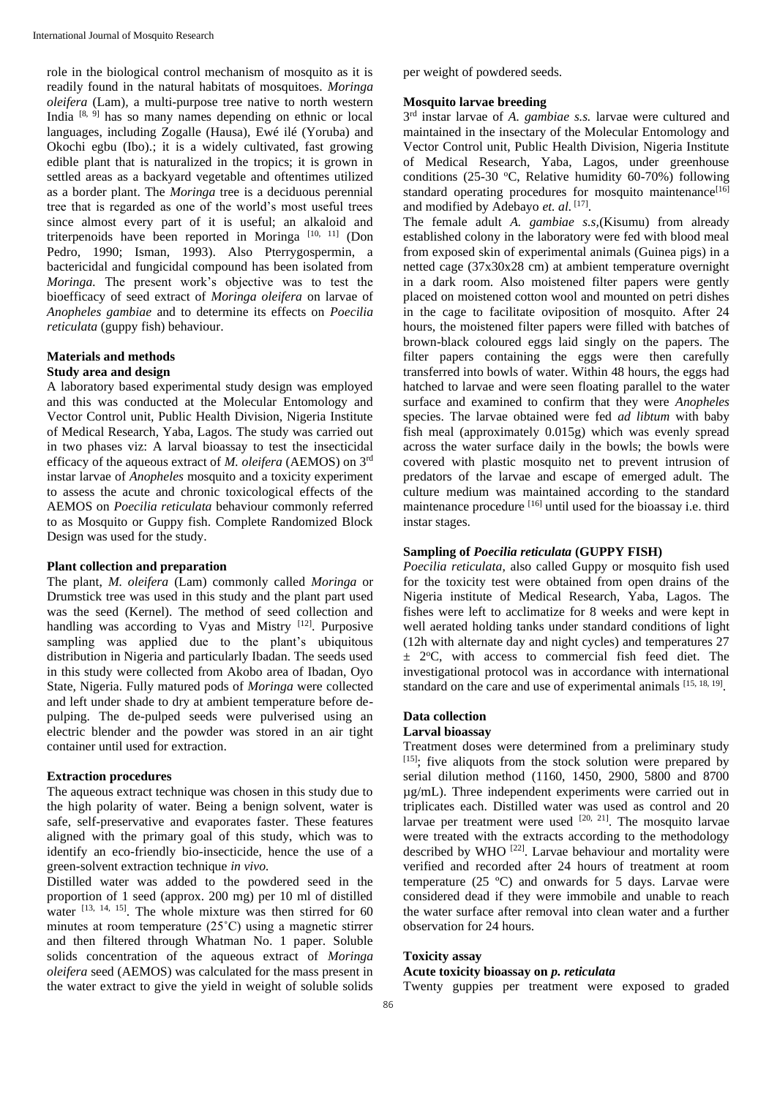role in the biological control mechanism of mosquito as it is readily found in the natural habitats of mosquitoes. *Moringa oleifera* (Lam)*,* a multi-purpose tree native to north western India [8, 9] has so many names depending on ethnic or local languages, including Zogalle (Hausa), Ewé ilé (Yoruba) and Okochi egbu (Ibo).; it is a widely cultivated, fast growing edible plant that is naturalized in the tropics; it is grown in settled areas as a backyard vegetable and oftentimes utilized as a border plant. The *Moringa* tree is a deciduous perennial tree that is regarded as one of the world's most useful trees since almost every part of it is useful; an alkaloid and triterpenoids have been reported in Moringa [10, 11] (Don Pedro, 1990; Isman, 1993). Also Pterrygospermin, a bactericidal and fungicidal compound has been isolated from *Moringa.* The present work's objective was to test the bioefficacy of seed extract of *Moringa oleifera* on larvae of *Anopheles gambiae* and to determine its effects on *Poecilia reticulata* (guppy fish) behaviour.

#### **Materials and methods Study area and design**

A laboratory based experimental study design was employed and this was conducted at the Molecular Entomology and Vector Control unit, Public Health Division, Nigeria Institute of Medical Research, Yaba, Lagos. The study was carried out in two phases viz: A larval bioassay to test the insecticidal efficacy of the aqueous extract of *M. oleifera* (AEMOS) on 3rd instar larvae of *Anopheles* mosquito and a toxicity experiment to assess the acute and chronic toxicological effects of the AEMOS on *Poecilia reticulata* behaviour commonly referred to as Mosquito or Guppy fish. Complete Randomized Block Design was used for the study.

## **Plant collection and preparation**

The plant, *M. oleifera* (Lam) commonly called *Moringa* or Drumstick tree was used in this study and the plant part used was the seed (Kernel). The method of seed collection and handling was according to Vyas and Mistry [12]. Purposive sampling was applied due to the plant's ubiquitous distribution in Nigeria and particularly Ibadan. The seeds used in this study were collected from Akobo area of Ibadan, Oyo State, Nigeria. Fully matured pods of *Moringa* were collected and left under shade to dry at ambient temperature before depulping. The de-pulped seeds were pulverised using an electric blender and the powder was stored in an air tight container until used for extraction.

## **Extraction procedures**

The aqueous extract technique was chosen in this study due to the high polarity of water. Being a benign solvent, water is safe, self-preservative and evaporates faster. These features aligned with the primary goal of this study, which was to identify an eco-friendly bio-insecticide, hence the use of a green-solvent extraction technique *in vivo.*

Distilled water was added to the powdered seed in the proportion of 1 seed (approx. 200 mg) per 10 ml of distilled water  $[13, 14, 15]$ . The whole mixture was then stirred for 60 minutes at room temperature (25˚C) using a magnetic stirrer and then filtered through Whatman No. 1 paper. Soluble solids concentration of the aqueous extract of *Moringa oleifera* seed (AEMOS) was calculated for the mass present in the water extract to give the yield in weight of soluble solids per weight of powdered seeds.

# **Mosquito larvae breeding**

3 rd instar larvae of *A. gambiae s.s.* larvae were cultured and maintained in the insectary of the Molecular Entomology and Vector Control unit, Public Health Division, Nigeria Institute of Medical Research, Yaba, Lagos, under greenhouse conditions (25-30 °C, Relative humidity 60-70%) following standard operating procedures for mosquito maintenance<sup>[16]</sup> and modified by Adebayo et. al. [17].

The female adult *A. gambiae s.s,*(Kisumu) from already established colony in the laboratory were fed with blood meal from exposed skin of experimental animals (Guinea pigs) in a netted cage (37x30x28 cm) at ambient temperature overnight in a dark room. Also moistened filter papers were gently placed on moistened cotton wool and mounted on petri dishes in the cage to facilitate oviposition of mosquito. After 24 hours, the moistened filter papers were filled with batches of brown-black coloured eggs laid singly on the papers. The filter papers containing the eggs were then carefully transferred into bowls of water. Within 48 hours, the eggs had hatched to larvae and were seen floating parallel to the water surface and examined to confirm that they were *Anopheles*  species. The larvae obtained were fed *ad libtum* with baby fish meal (approximately 0.015g) which was evenly spread across the water surface daily in the bowls; the bowls were covered with plastic mosquito net to prevent intrusion of predators of the larvae and escape of emerged adult. The culture medium was maintained according to the standard maintenance procedure [16] until used for the bioassay i.e. third instar stages.

# **Sampling of** *Poecilia reticulata* **(GUPPY FISH)**

*Poecilia reticulata*, also called Guppy or mosquito fish used for the toxicity test were obtained from open drains of the Nigeria institute of Medical Research, Yaba, Lagos. The fishes were left to acclimatize for 8 weeks and were kept in well aerated holding tanks under standard conditions of light (12h with alternate day and night cycles) and temperatures 27  $\pm$  2°C, with access to commercial fish feed diet. The investigational protocol was in accordance with international standard on the care and use of experimental animals [15, 18, 19].

# **Data collection**

## **Larval bioassay**

Treatment doses were determined from a preliminary study [15]; five aliquots from the stock solution were prepared by serial dilution method (1160, 1450, 2900, 5800 and 8700 µg/mL). Three independent experiments were carried out in triplicates each. Distilled water was used as control and 20 larvae per treatment were used  $[20, 21]$ . The mosquito larvae were treated with the extracts according to the methodology described by WHO<sup>[22]</sup>. Larvae behaviour and mortality were verified and recorded after 24 hours of treatment at room temperature  $(25 \text{ °C})$  and onwards for 5 days. Larvae were considered dead if they were immobile and unable to reach the water surface after removal into clean water and a further observation for 24 hours.

# **Toxicity assay**

## **Acute toxicity bioassay on** *p. reticulata*

Twenty guppies per treatment were exposed to graded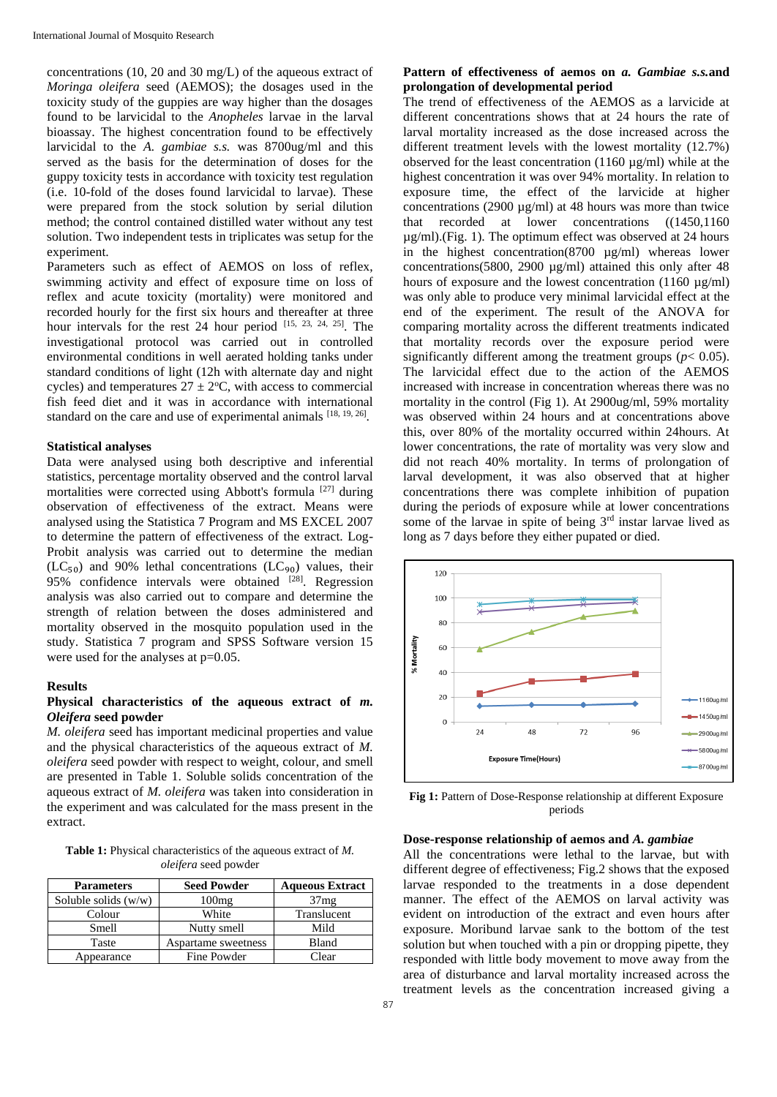concentrations (10, 20 and 30 mg/L) of the aqueous extract of *Moringa oleifera* seed (AEMOS); the dosages used in the toxicity study of the guppies are way higher than the dosages found to be larvicidal to the *Anopheles* larvae in the larval bioassay. The highest concentration found to be effectively larvicidal to the *A. gambiae s.s.* was 8700ug/ml and this served as the basis for the determination of doses for the guppy toxicity tests in accordance with toxicity test regulation (i.e. 10-fold of the doses found larvicidal to larvae). These were prepared from the stock solution by serial dilution method; the control contained distilled water without any test solution. Two independent tests in triplicates was setup for the experiment.

Parameters such as effect of AEMOS on loss of reflex, swimming activity and effect of exposure time on loss of reflex and acute toxicity (mortality) were monitored and recorded hourly for the first six hours and thereafter at three hour intervals for the rest 24 hour period [15, 23, 24, 25]. The investigational protocol was carried out in controlled environmental conditions in well aerated holding tanks under standard conditions of light (12h with alternate day and night cycles) and temperatures  $27 \pm 2$ °C, with access to commercial fish feed diet and it was in accordance with international standard on the care and use of experimental animals  $[18, 19, 26]$ .

#### **Statistical analyses**

Data were analysed using both descriptive and inferential statistics, percentage mortality observed and the control larval mortalities were corrected using Abbott's formula [27] during observation of effectiveness of the extract. Means were analysed using the Statistica 7 Program and MS EXCEL 2007 to determine the pattern of effectiveness of the extract. Log-Probit analysis was carried out to determine the median  $(LC_{50})$  and 90% lethal concentrations  $(LC_{90})$  values, their 95% confidence intervals were obtained  $[28]$ . Regression analysis was also carried out to compare and determine the strength of relation between the doses administered and mortality observed in the mosquito population used in the study. Statistica 7 program and SPSS Software version 15 were used for the analyses at  $p=0.05$ .

#### **Results**

# **Physical characteristics of the aqueous extract of** *m. Oleifera* **seed powder**

*M. oleifera* seed has important medicinal properties and value and the physical characteristics of the aqueous extract of *M. oleifera* seed powder with respect to weight, colour, and smell are presented in Table 1. Soluble solids concentration of the aqueous extract of *M. oleifera* was taken into consideration in the experiment and was calculated for the mass present in the extract.

**Table 1:** Physical characteristics of the aqueous extract of *M. oleifera* seed powder

| <b>Parameters</b>      | <b>Seed Powder</b>  | <b>Aqueous Extract</b> |
|------------------------|---------------------|------------------------|
| Soluble solids $(w/w)$ | $100$ mg            | 37mg                   |
| Colour                 | White               | Translucent            |
| Smell                  | Nutty smell         | Mild                   |
| Taste                  | Aspartame sweetness | <b>Bland</b>           |
| Appearance             | Fine Powder         | Clear                  |

# **Pattern of effectiveness of aemos on** *a. Gambiae s.s.***and prolongation of developmental period**

The trend of effectiveness of the AEMOS as a larvicide at different concentrations shows that at 24 hours the rate of larval mortality increased as the dose increased across the different treatment levels with the lowest mortality (12.7%) observed for the least concentration (1160 µg/ml) while at the highest concentration it was over 94% mortality. In relation to exposure time, the effect of the larvicide at higher concentrations (2900  $\mu$ g/ml) at 48 hours was more than twice that recorded at lower concentrations ((1450,1160 µg/ml).(Fig. 1). The optimum effect was observed at 24 hours in the highest concentration(8700 µg/ml) whereas lower concentrations(5800, 2900  $\mu$ g/ml) attained this only after 48 hours of exposure and the lowest concentration  $(1160 \text{ ug/ml})$ was only able to produce very minimal larvicidal effect at the end of the experiment. The result of the ANOVA for comparing mortality across the different treatments indicated that mortality records over the exposure period were significantly different among the treatment groups ( $p < 0.05$ ). The larvicidal effect due to the action of the AEMOS increased with increase in concentration whereas there was no mortality in the control (Fig 1). At 2900ug/ml, 59% mortality was observed within 24 hours and at concentrations above this, over 80% of the mortality occurred within 24hours. At lower concentrations, the rate of mortality was very slow and did not reach 40% mortality. In terms of prolongation of larval development, it was also observed that at higher concentrations there was complete inhibition of pupation during the periods of exposure while at lower concentrations some of the larvae in spite of being  $3<sup>rd</sup>$  instar larvae lived as long as 7 days before they either pupated or died.



Fig 1: Pattern of Dose-Response relationship at different Exposure periods

#### **Dose-response relationship of aemos and** *A. gambiae*

All the concentrations were lethal to the larvae, but with different degree of effectiveness; Fig.2 shows that the exposed larvae responded to the treatments in a dose dependent manner. The effect of the AEMOS on larval activity was evident on introduction of the extract and even hours after exposure. Moribund larvae sank to the bottom of the test solution but when touched with a pin or dropping pipette, they responded with little body movement to move away from the area of disturbance and larval mortality increased across the treatment levels as the concentration increased giving a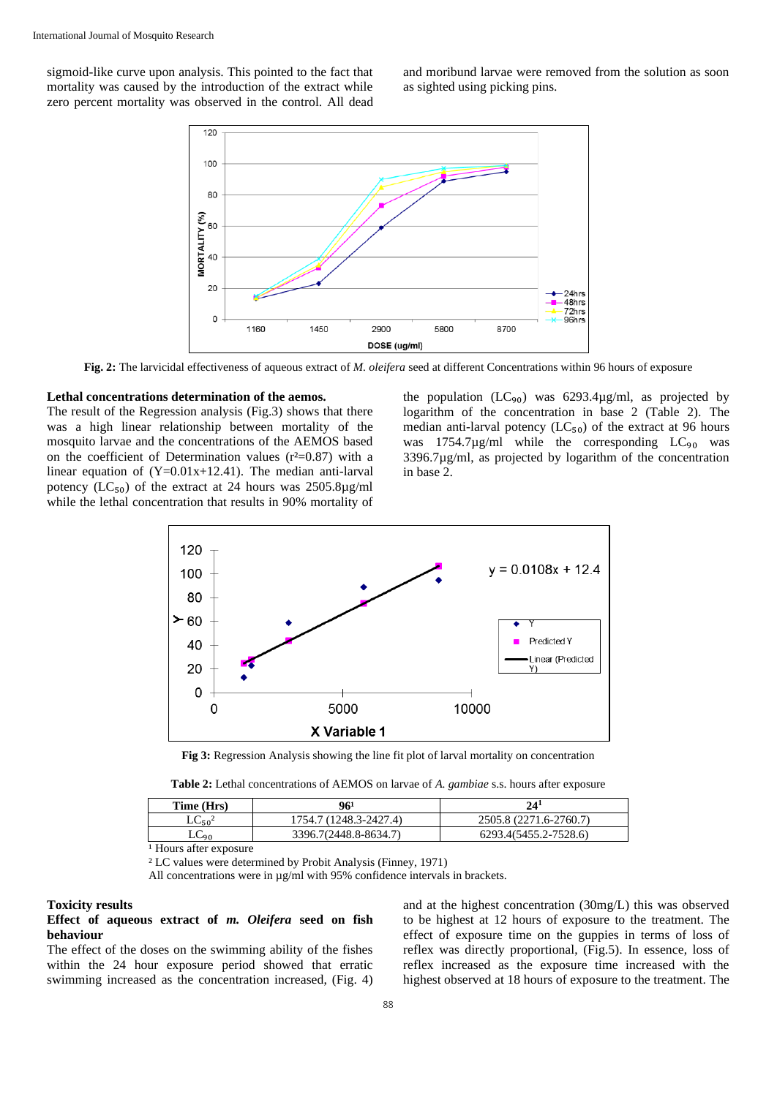sigmoid-like curve upon analysis. This pointed to the fact that mortality was caused by the introduction of the extract while zero percent mortality was observed in the control. All dead

and moribund larvae were removed from the solution as soon as sighted using picking pins.



**Fig. 2:** The larvicidal effectiveness of aqueous extract of *M. oleifera* seed at different Concentrations within 96 hours of exposure

#### **Lethal concentrations determination of the aemos.**

The result of the Regression analysis (Fig.3) shows that there was a high linear relationship between mortality of the mosquito larvae and the concentrations of the AEMOS based on the coefficient of Determination values  $(r^2=0.87)$  with a linear equation of  $(Y=0.01x+12.41)$ . The median anti-larval potency ( $LC_{50}$ ) of the extract at 24 hours was 2505.8µg/ml while the lethal concentration that results in 90% mortality of

the population  $(LC_{90})$  was 6293.4µg/ml, as projected by logarithm of the concentration in base 2 (Table 2). The median anti-larval potency  $(LC_{50})$  of the extract at 96 hours was  $1754.7\mu$ g/ml while the corresponding  $LC_{90}$  was 3396.7µg/ml, as projected by logarithm of the concentration in base 2.



**Fig 3:** Regression Analysis showing the line fit plot of larval mortality on concentration

| Table 2: Lethal concentrations of AEMOS on larvae of A. gambiae s.s. hours after exposure |
|-------------------------------------------------------------------------------------------|
|-------------------------------------------------------------------------------------------|

| Time (Hrs)  | 961                    | $24^{1}$               |
|-------------|------------------------|------------------------|
| $LC_{50}^2$ | 1754.7 (1248.3-2427.4) | 2505.8 (2271.6-2760.7) |
| LC00        | 3396.7(2448.8-8634.7)  | 6293.4(5455.2-7528.6)  |
|             |                        |                        |

<sup>1</sup> Hours after exposure

² LC values were determined by Probit Analysis (Finney, 1971)

All concentrations were in  $\mu$ g/ml with 95% confidence intervals in brackets.

#### **Toxicity results**

# **Effect of aqueous extract of** *m. Oleifera* **seed on fish behaviour**

The effect of the doses on the swimming ability of the fishes within the 24 hour exposure period showed that erratic swimming increased as the concentration increased, (Fig. 4)

and at the highest concentration (30mg/L) this was observed to be highest at 12 hours of exposure to the treatment. The effect of exposure time on the guppies in terms of loss of reflex was directly proportional, (Fig.5). In essence, loss of reflex increased as the exposure time increased with the highest observed at 18 hours of exposure to the treatment. The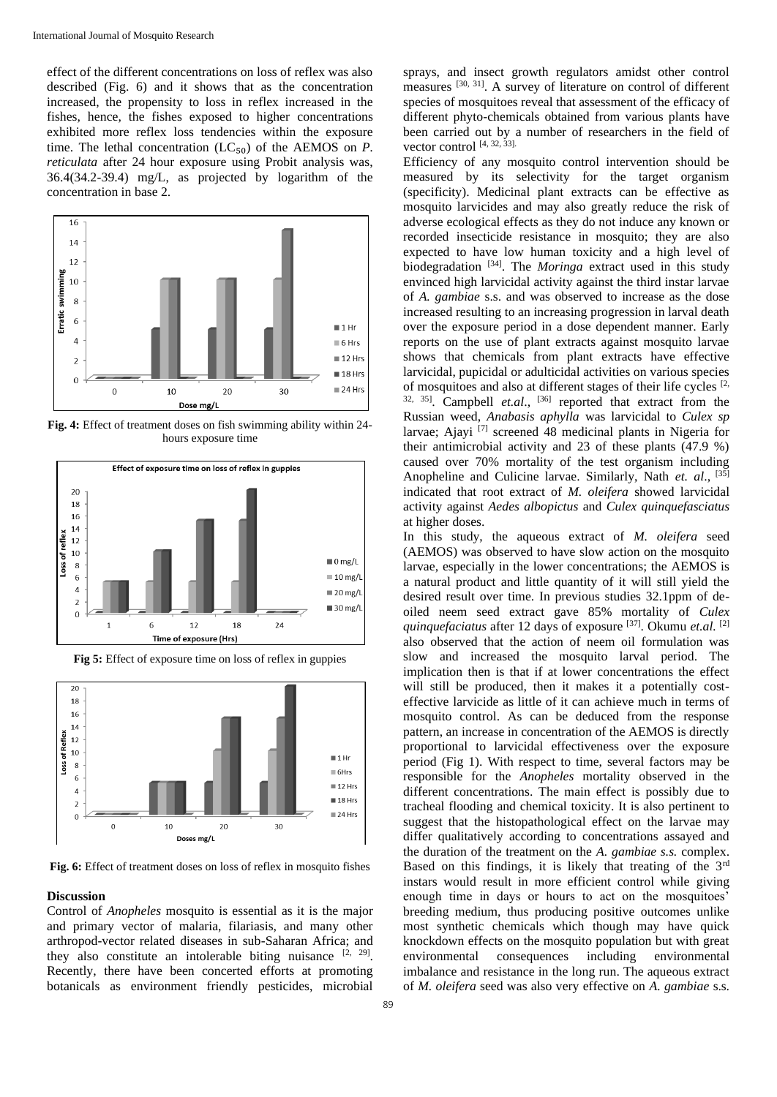effect of the different concentrations on loss of reflex was also described (Fig. 6) and it shows that as the concentration increased, the propensity to loss in reflex increased in the fishes, hence, the fishes exposed to higher concentrations exhibited more reflex loss tendencies within the exposure time. The lethal concentration  $(LC_{50})$  of the AEMOS on *P*. *reticulata* after 24 hour exposure using Probit analysis was, 36.4(34.2-39.4) mg/L, as projected by logarithm of the concentration in base 2.



**Fig. 4:** Effect of treatment doses on fish swimming ability within 24 hours exposure time



**Fig 5:** Effect of exposure time on loss of reflex in guppies



**Fig. 6:** Effect of treatment doses on loss of reflex in mosquito fishes

#### **Discussion**

Control of *Anopheles* mosquito is essential as it is the major and primary vector of malaria, filariasis, and many other arthropod-vector related diseases in sub-Saharan Africa; and they also constitute an intolerable biting nuisance  $[2, 29]$ . Recently, there have been concerted efforts at promoting botanicals as environment friendly pesticides, microbial

sprays, and insect growth regulators amidst other control measures <sup>[30, 31]</sup>. A survey of literature on control of different species of mosquitoes reveal that assessment of the efficacy of different phyto-chemicals obtained from various plants have been carried out by a number of researchers in the field of vector control  $[4, 32, 33]$ .

Efficiency of any mosquito control intervention should be measured by its selectivity for the target organism (specificity). Medicinal plant extracts can be effective as mosquito larvicides and may also greatly reduce the risk of adverse ecological effects as they do not induce any known or recorded insecticide resistance in mosquito; they are also expected to have low human toxicity and a high level of biodegradation [34]. The *Moringa* extract used in this study envinced high larvicidal activity against the third instar larvae of *A. gambiae* s.s. and was observed to increase as the dose increased resulting to an increasing progression in larval death over the exposure period in a dose dependent manner. Early reports on the use of plant extracts against mosquito larvae shows that chemicals from plant extracts have effective larvicidal, pupicidal or adulticidal activities on various species of mosquitoes and also at different stages of their life cycles [2, 32, 35]. Campbell *et.al*., [36] reported that extract from the Russian weed, *Anabasis aphylla* was larvicidal to *Culex sp* larvae; Ajayi [7] screened 48 medicinal plants in Nigeria for their antimicrobial activity and 23 of these plants (47.9 %) caused over 70% mortality of the test organism including Anopheline and Culicine larvae. Similarly, Nath *et. al*., [35] indicated that root extract of *M. oleifera* showed larvicidal activity against *Aedes albopictus* and *Culex quinquefasciatus* at higher doses.

In this study, the aqueous extract of *M. oleifera* seed (AEMOS) was observed to have slow action on the mosquito larvae, especially in the lower concentrations; the AEMOS is a natural product and little quantity of it will still yield the desired result over time. In previous studies 32.1ppm of deoiled neem seed extract gave 85% mortality of *Culex quinquefaciatus* after 12 days of exposure [37]. Okumu *et.al.* [2] also observed that the action of neem oil formulation was slow and increased the mosquito larval period. The implication then is that if at lower concentrations the effect will still be produced, then it makes it a potentially costeffective larvicide as little of it can achieve much in terms of mosquito control. As can be deduced from the response pattern, an increase in concentration of the AEMOS is directly proportional to larvicidal effectiveness over the exposure period (Fig 1). With respect to time, several factors may be responsible for the *Anopheles* mortality observed in the different concentrations. The main effect is possibly due to tracheal flooding and chemical toxicity. It is also pertinent to suggest that the histopathological effect on the larvae may differ qualitatively according to concentrations assayed and the duration of the treatment on the *A. gambiae s.s.* complex. Based on this findings, it is likely that treating of the 3<sup>rd</sup> instars would result in more efficient control while giving enough time in days or hours to act on the mosquitoes' breeding medium, thus producing positive outcomes unlike most synthetic chemicals which though may have quick knockdown effects on the mosquito population but with great environmental consequences including environmental imbalance and resistance in the long run. The aqueous extract of *M. oleifera* seed was also very effective on *A. gambiae* s.s.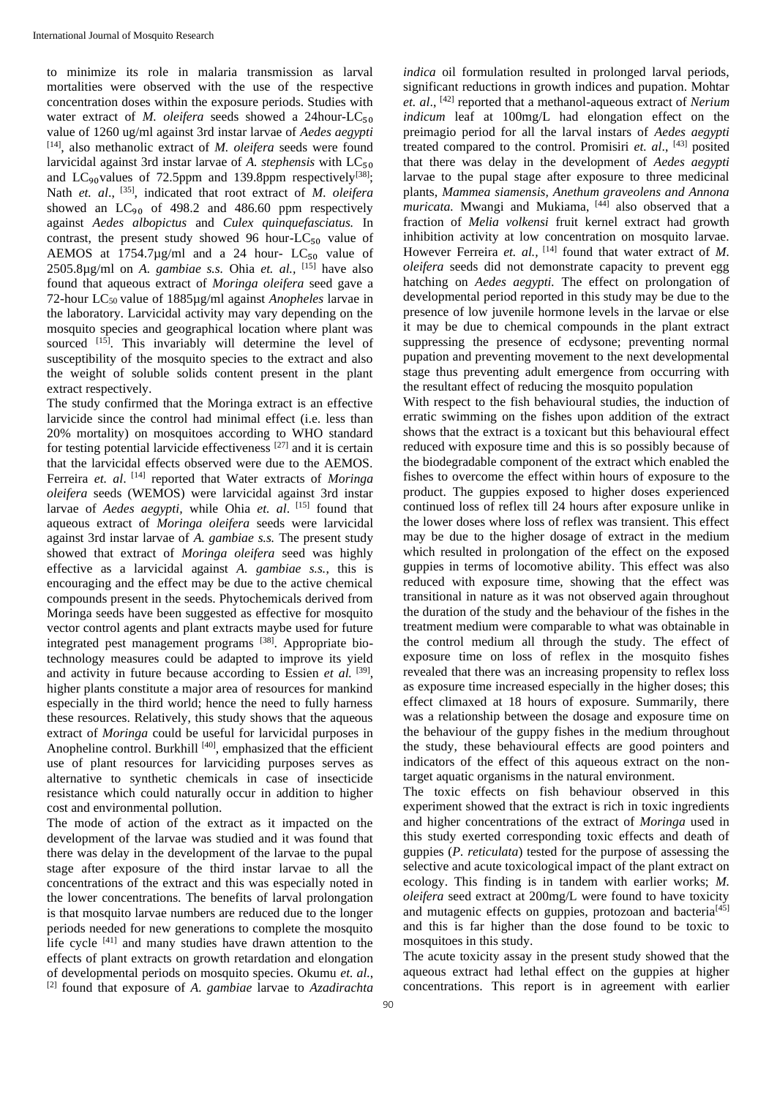to minimize its role in malaria transmission as larval mortalities were observed with the use of the respective concentration doses within the exposure periods. Studies with water extract of *M. oleifera* seeds showed a 24hour-LC $_{50}$ value of 1260 ug/ml against 3rd instar larvae of *Aedes aegypti* [14], also methanolic extract of *M. oleifera* seeds were found larvicidal against 3rd instar larvae of *A. stephensis* with LC<sub>50</sub> and LC<sub>90</sub>values of 72.5ppm and 139.8ppm respectively<sup>[38]</sup>; Nath *et. al.*, <sup>[35]</sup>, indicated that root extract of *M. oleifera* showed an  $LC_{90}$  of 498.2 and 486.60 ppm respectively against *Aedes albopictus* and *Culex quinquefasciatus.* In contrast, the present study showed 96 hour- $LC_{50}$  value of AEMOS at  $1754.7\mu$ g/ml and a 24 hour- LC<sub>50</sub> value of 2505.8 $\mu$ g/ml on *A. gambiae s.s.* Ohia *et. al.*, <sup>[15]</sup> have also found that aqueous extract of *Moringa oleifera* seed gave a 72-hour LC50 value of 1885µg/ml against *Anopheles* larvae in the laboratory. Larvicidal activity may vary depending on the mosquito species and geographical location where plant was sourced [15]. This invariably will determine the level of susceptibility of the mosquito species to the extract and also the weight of soluble solids content present in the plant extract respectively.

The study confirmed that the Moringa extract is an effective larvicide since the control had minimal effect (i.e. less than 20% mortality) on mosquitoes according to WHO standard for testing potential larvicide effectiveness [27] and it is certain that the larvicidal effects observed were due to the AEMOS. Ferreira *et. al*. [14] reported that Water extracts of *Moringa oleifera* seeds (WEMOS) were larvicidal against 3rd instar larvae of *Aedes aegypti,* while Ohia *et. al*. [15] found that aqueous extract of *Moringa oleifera* seeds were larvicidal against 3rd instar larvae of *A. gambiae s.s.* The present study showed that extract of *Moringa oleifera* seed was highly effective as a larvicidal against *A. gambiae s.s.*, this is encouraging and the effect may be due to the active chemical compounds present in the seeds. Phytochemicals derived from Moringa seeds have been suggested as effective for mosquito vector control agents and plant extracts maybe used for future integrated pest management programs [38]. Appropriate biotechnology measures could be adapted to improve its yield and activity in future because according to Essien *et al.* [39], higher plants constitute a major area of resources for mankind especially in the third world; hence the need to fully harness these resources. Relatively, this study shows that the aqueous extract of *Moringa* could be useful for larvicidal purposes in Anopheline control. Burkhill<sup>[40]</sup>, emphasized that the efficient use of plant resources for larviciding purposes serves as alternative to synthetic chemicals in case of insecticide resistance which could naturally occur in addition to higher cost and environmental pollution.

The mode of action of the extract as it impacted on the development of the larvae was studied and it was found that there was delay in the development of the larvae to the pupal stage after exposure of the third instar larvae to all the concentrations of the extract and this was especially noted in the lower concentrations. The benefits of larval prolongation is that mosquito larvae numbers are reduced due to the longer periods needed for new generations to complete the mosquito life cycle <sup>[41]</sup> and many studies have drawn attention to the effects of plant extracts on growth retardation and elongation of developmental periods on mosquito species. Okumu *et. al.*, [2] found that exposure of *A. gambiae* larvae to *Azadirachta* 

*indica* oil formulation resulted in prolonged larval periods, significant reductions in growth indices and pupation. Mohtar *et. al*., [42] reported that a methanol-aqueous extract of *Nerium indicum* leaf at 100mg/L had elongation effect on the preimagio period for all the larval instars of *Aedes aegypti* treated compared to the control. Promisiri *et. al*., [43] posited that there was delay in the development of *Aedes aegypti* larvae to the pupal stage after exposure to three medicinal plants, *Mammea siamensis, Anethum graveolens and Annona muricata*. Mwangi and Mukiama, <sup>[44]</sup> also observed that a fraction of *Melia volkensi* fruit kernel extract had growth inhibition activity at low concentration on mosquito larvae. However Ferreira *et. al.*, <sup>[14]</sup> found that water extract of *M*. *oleifera* seeds did not demonstrate capacity to prevent egg hatching on *Aedes aegypti.* The effect on prolongation of developmental period reported in this study may be due to the presence of low juvenile hormone levels in the larvae or else it may be due to chemical compounds in the plant extract suppressing the presence of ecdysone; preventing normal pupation and preventing movement to the next developmental stage thus preventing adult emergence from occurring with the resultant effect of reducing the mosquito population

With respect to the fish behavioural studies, the induction of erratic swimming on the fishes upon addition of the extract shows that the extract is a toxicant but this behavioural effect reduced with exposure time and this is so possibly because of the biodegradable component of the extract which enabled the fishes to overcome the effect within hours of exposure to the product. The guppies exposed to higher doses experienced continued loss of reflex till 24 hours after exposure unlike in the lower doses where loss of reflex was transient. This effect may be due to the higher dosage of extract in the medium which resulted in prolongation of the effect on the exposed guppies in terms of locomotive ability. This effect was also reduced with exposure time, showing that the effect was transitional in nature as it was not observed again throughout the duration of the study and the behaviour of the fishes in the treatment medium were comparable to what was obtainable in the control medium all through the study. The effect of exposure time on loss of reflex in the mosquito fishes revealed that there was an increasing propensity to reflex loss as exposure time increased especially in the higher doses; this effect climaxed at 18 hours of exposure. Summarily, there was a relationship between the dosage and exposure time on the behaviour of the guppy fishes in the medium throughout the study, these behavioural effects are good pointers and indicators of the effect of this aqueous extract on the nontarget aquatic organisms in the natural environment.

The toxic effects on fish behaviour observed in this experiment showed that the extract is rich in toxic ingredients and higher concentrations of the extract of *Moringa* used in this study exerted corresponding toxic effects and death of guppies (*P. reticulata*) tested for the purpose of assessing the selective and acute toxicological impact of the plant extract on ecology. This finding is in tandem with earlier works; *M. oleifera* seed extract at 200mg/L were found to have toxicity and mutagenic effects on guppies, protozoan and bacteria<sup>[45]</sup> and this is far higher than the dose found to be toxic to mosquitoes in this study.

The acute toxicity assay in the present study showed that the aqueous extract had lethal effect on the guppies at higher concentrations. This report is in agreement with earlier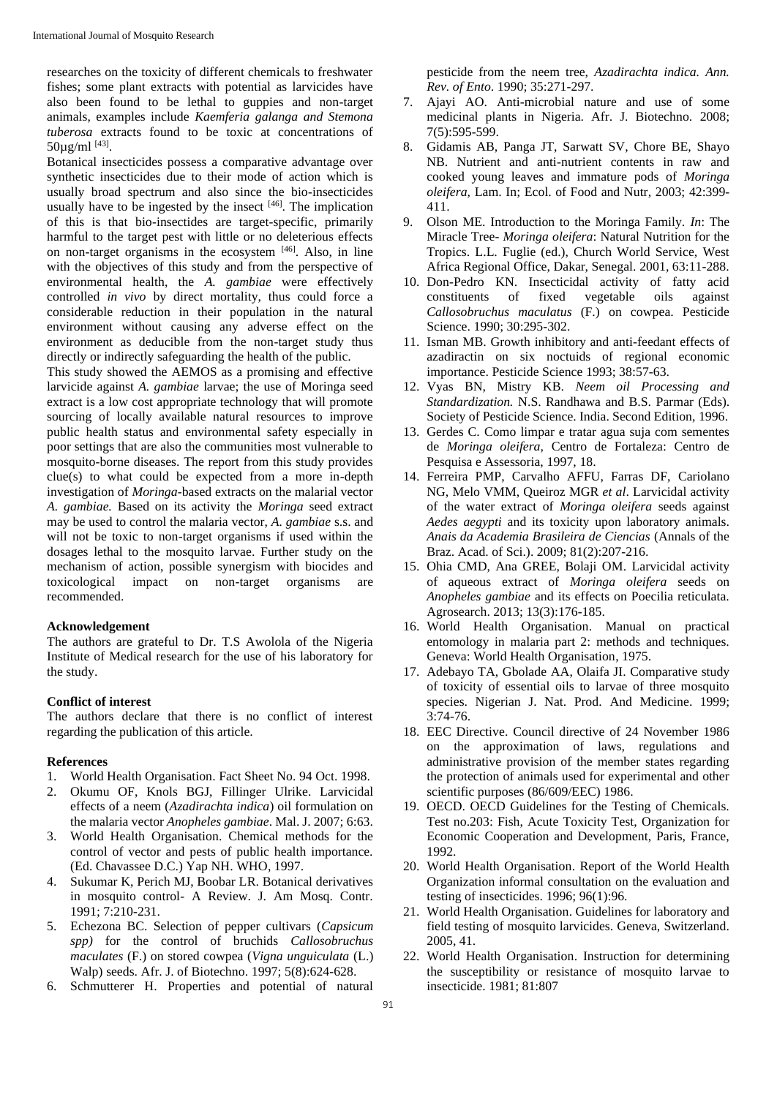researches on the toxicity of different chemicals to freshwater fishes; some plant extracts with potential as larvicides have also been found to be lethal to guppies and non-target animals, examples include *Kaemferia galanga and Stemona tuberosa* extracts found to be toxic at concentrations of  $50\mu g/ml$  [43].

Botanical insecticides possess a comparative advantage over synthetic insecticides due to their mode of action which is usually broad spectrum and also since the bio-insecticides usually have to be ingested by the insect  $[46]$ . The implication of this is that bio-insectides are target-specific, primarily harmful to the target pest with little or no deleterious effects on non-target organisms in the ecosystem  $[46]$ . Also, in line with the objectives of this study and from the perspective of environmental health, the *A. gambiae* were effectively controlled *in vivo* by direct mortality, thus could force a considerable reduction in their population in the natural environment without causing any adverse effect on the environment as deducible from the non-target study thus directly or indirectly safeguarding the health of the public.

This study showed the AEMOS as a promising and effective larvicide against *A. gambiae* larvae; the use of Moringa seed extract is a low cost appropriate technology that will promote sourcing of locally available natural resources to improve public health status and environmental safety especially in poor settings that are also the communities most vulnerable to mosquito-borne diseases. The report from this study provides clue(s) to what could be expected from a more in-depth investigation of *Moringa*-based extracts on the malarial vector *A. gambiae.* Based on its activity the *Moringa* seed extract may be used to control the malaria vector, *A. gambiae* s.s. and will not be toxic to non-target organisms if used within the dosages lethal to the mosquito larvae. Further study on the mechanism of action, possible synergism with biocides and toxicological impact on non-target organisms are recommended.

## **Acknowledgement**

The authors are grateful to Dr. T.S Awolola of the Nigeria Institute of Medical research for the use of his laboratory for the study.

#### **Conflict of interest**

The authors declare that there is no conflict of interest regarding the publication of this article.

#### **References**

- 1. World Health Organisation. Fact Sheet No. 94 Oct. 1998.
- 2. Okumu OF, Knols BGJ, Fillinger Ulrike. Larvicidal effects of a neem (*Azadirachta indica*) oil formulation on the malaria vector *Anopheles gambiae*. Mal. J. 2007; 6:63.
- 3. World Health Organisation. Chemical methods for the control of vector and pests of public health importance. (Ed. Chavassee D.C.) Yap NH. WHO, 1997.
- 4. Sukumar K, Perich MJ, Boobar LR. Botanical derivatives in mosquito control- A Review. J. Am Mosq. Contr. 1991; 7:210-231.
- 5. Echezona BC. Selection of pepper cultivars (*Capsicum spp)* for the control of bruchids *Callosobruchus maculates* (F.) on stored cowpea (*Vigna unguiculata* (L.) Walp) seeds. Afr. J. of Biotechno. 1997; 5(8):624-628.
- 6. Schmutterer H. Properties and potential of natural

pesticide from the neem tree, *Azadirachta indica. Ann. Rev. of Ento*. 1990; 35:271-297.

- 7. Ajayi AO. Anti-microbial nature and use of some medicinal plants in Nigeria. Afr. J. Biotechno. 2008; 7(5):595-599.
- 8. Gidamis AB, Panga JT, Sarwatt SV, Chore BE, Shayo NB. Nutrient and anti-nutrient contents in raw and cooked young leaves and immature pods of *Moringa oleifera,* Lam. In; Ecol. of Food and Nutr, 2003; 42:399- 411.
- 9. Olson ME. Introduction to the Moringa Family. *In*: The Miracle Tree- *Moringa oleifera*: Natural Nutrition for the Tropics. L.L. Fuglie (ed.), Church World Service, West Africa Regional Office, Dakar, Senegal. 2001, 63:11-288.
- 10. Don-Pedro KN. Insecticidal activity of fatty acid constituents of fixed vegetable oils against *Callosobruchus maculatus* (F.) on cowpea. Pesticide Science. 1990; 30:295-302.
- 11. Isman MB. Growth inhibitory and anti-feedant effects of azadiractin on six noctuids of regional economic importance. Pesticide Science 1993; 38:57-63.
- 12. Vyas BN, Mistry KB. *Neem oil Processing and Standardization.* N.S. Randhawa and B.S. Parmar (Eds). Society of Pesticide Science. India. Second Edition, 1996.
- 13. Gerdes C. Como limpar e tratar agua suja com sementes de *Moringa oleifera,* Centro de Fortaleza: Centro de Pesquisa e Assessoria, 1997, 18.
- 14. Ferreira PMP, Carvalho AFFU, Farras DF, Cariolano NG, Melo VMM, Queiroz MGR *et al*. Larvicidal activity of the water extract of *Moringa oleifera* seeds against *Aedes aegypti* and its toxicity upon laboratory animals. *Anais da Academia Brasileira de Ciencias* (Annals of the Braz. Acad. of Sci.). 2009; 81(2):207-216.
- 15. Ohia CMD, Ana GREE, Bolaji OM. Larvicidal activity of aqueous extract of *Moringa oleifera* seeds on *Anopheles gambiae* and its effects on Poecilia reticulata. Agrosearch. 2013; 13(3):176-185.
- 16. World Health Organisation. Manual on practical entomology in malaria part 2: methods and techniques. Geneva: World Health Organisation, 1975.
- 17. Adebayo TA, Gbolade AA, Olaifa JI. Comparative study of toxicity of essential oils to larvae of three mosquito species. Nigerian J. Nat. Prod. And Medicine. 1999; 3:74-76.
- 18. EEC Directive. Council directive of 24 November 1986 on the approximation of laws, regulations and administrative provision of the member states regarding the protection of animals used for experimental and other scientific purposes (86/609/EEC) 1986.
- 19. OECD. OECD Guidelines for the Testing of Chemicals. Test no.203: Fish, Acute Toxicity Test, Organization for Economic Cooperation and Development, Paris, France, 1992.
- 20. World Health Organisation. Report of the World Health Organization informal consultation on the evaluation and testing of insecticides. 1996; 96(1):96.
- 21. World Health Organisation. Guidelines for laboratory and field testing of mosquito larvicides. Geneva, Switzerland. 2005, 41.
- 22. World Health Organisation. Instruction for determining the susceptibility or resistance of mosquito larvae to insecticide. 1981; 81:807